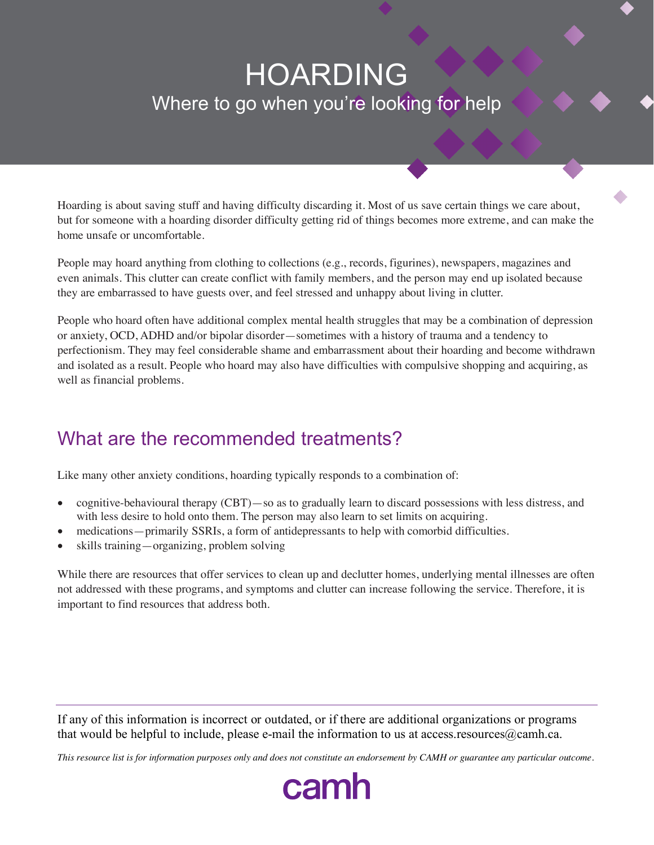# HOARDING Where to go when you're looking for help

Hoarding is about saving stuff and having difficulty discarding it. Most of us save certain things we care about, but for someone with a hoarding disorder difficulty getting rid of things becomes more extreme, and can make the home unsafe or uncomfortable.

People may hoard anything from clothing to collections (e.g., records, figurines), newspapers, magazines and even animals. This clutter can create conflict with family members, and the person may end up isolated because they are embarrassed to have guests over, and feel stressed and unhappy about living in clutter.

People who hoard often have additional complex mental health struggles that may be a combination of depression or anxiety, OCD, ADHD and/or bipolar disorder—sometimes with a history of trauma and a tendency to perfectionism. They may feel considerable shame and embarrassment about their hoarding and become withdrawn and isolated as a result. People who hoard may also have difficulties with compulsive shopping and acquiring, as well as financial problems.

## What are the recommended treatments?

Like many other anxiety conditions, hoarding typically responds to a combination of:

- cognitive-behavioural therapy (CBT)—so as to gradually learn to discard possessions with less distress, and with less desire to hold onto them. The person may also learn to set limits on acquiring.
- medications—primarily SSRIs, a form of antidepressants to help with comorbid difficulties.
- skills training—organizing, problem solving

While there are resources that offer services to clean up and declutter homes, underlying mental illnesses are often not addressed with these programs, and symptoms and clutter can increase following the service. Therefore, it is important to find resources that address both.

If any of this information is incorrect or outdated, or if there are additional organizations or programs that would be helpful to include, please e-mail the information to us at access.resources $@$ camh.ca.

*This resource list is for information purposes only and does not constitute an endorsement by CAMH or guarantee any particular outcome.*

camh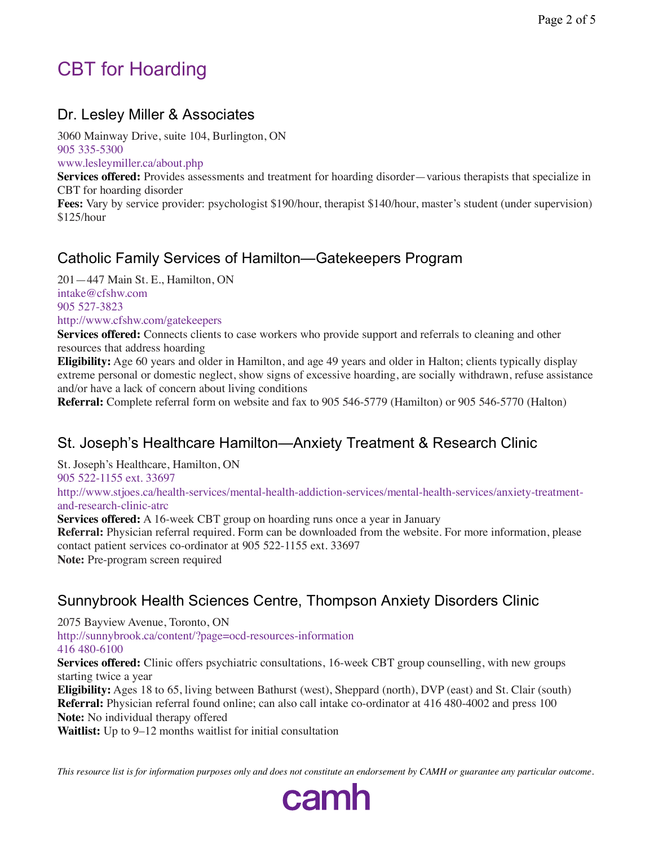## CBT for Hoarding

### Dr. Lesley Miller & Associates

3060 Mainway Drive, suite 104, Burlington, ON 905 335-5300

www.lesleymiller.ca/about.php

**Services offered:** Provides assessments and treatment for hoarding disorder—various therapists that specialize in CBT for hoarding disorder

**Fees:** Vary by service provider: psychologist \$190/hour, therapist \$140/hour, master's student (under supervision) \$125/hour

### Catholic Family Services of Hamilton—Gatekeepers Program

201—447 Main St. E., Hamilton, ON intake@cfshw.com 905 527-3823 http://www.cfshw.com/gatekeepers

**Services offered:** Connects clients to case workers who provide support and referrals to cleaning and other resources that address hoarding

**Eligibility:** Age 60 years and older in Hamilton, and age 49 years and older in Halton; clients typically display extreme personal or domestic neglect, show signs of excessive hoarding, are socially withdrawn, refuse assistance and/or have a lack of concern about living conditions

**Referral:** Complete referral form on website and fax to 905 546-5779 (Hamilton) or 905 546-5770 (Halton)

### St. Joseph's Healthcare Hamilton—Anxiety Treatment & Research Clinic

St. Joseph's Healthcare, Hamilton, ON

905 522-1155 ext. 33697

http://www.stjoes.ca/health-services/mental-health-addiction-services/mental-health-services/anxiety-treatmentand-research-clinic-atrc

**Services offered:** A 16-week CBT group on hoarding runs once a year in January

**Referral:** Physician referral required. Form can be downloaded from the website. For more information, please contact patient services co-ordinator at 905 522-1155 ext. 33697

**Note:** Pre-program screen required

### Sunnybrook Health Sciences Centre, Thompson Anxiety Disorders Clinic

2075 Bayview Avenue, Toronto, ON

http://sunnybrook.ca/content/?page=ocd-resources-information 416 480-6100

**Services offered:** Clinic offers psychiatric consultations, 16-week CBT group counselling, with new groups starting twice a year

**Eligibility:** Ages 18 to 65, living between Bathurst (west), Sheppard (north), DVP (east) and St. Clair (south) **Referral:** Physician referral found online; can also call intake co-ordinator at 416 480-4002 and press 100 **Note:** No individual therapy offered

**Waitlist:** Up to 9–12 months waitlist for initial consultation

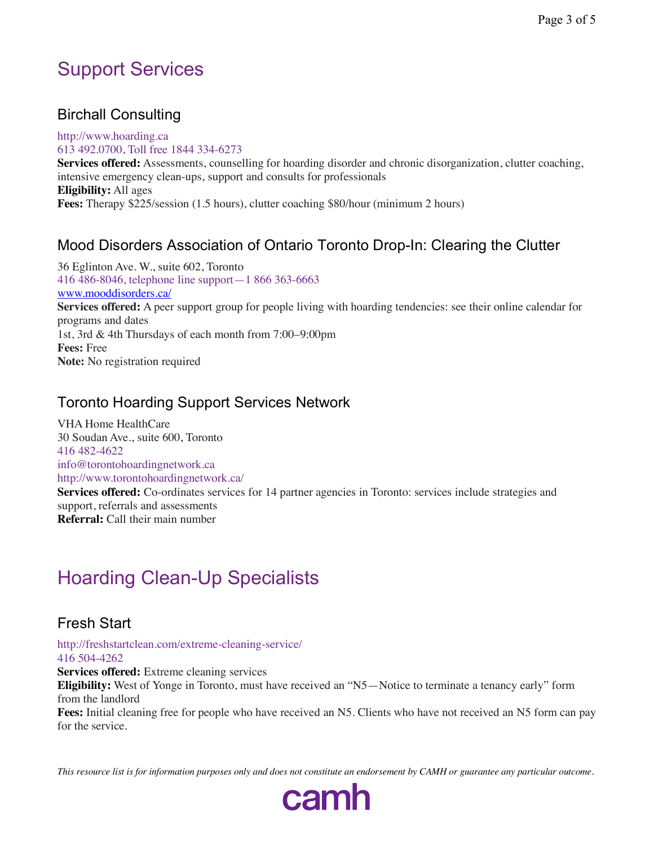## Support Services

### Birchall Consulting

http://www.hoarding.ca 613 492.0700, Toll free 1844 334-6273 **Services offered:** Assessments, counselling for hoarding disorder and chronic disorganization, clutter coaching, intensive emergency clean-ups, support and consults for professionals **Eligibility:** All ages **Fees:** Therapy \$225/session (1.5 hours), clutter coaching \$80/hour (minimum 2 hours)

### Mood Disorders Association of Ontario Toronto Drop-In: Clearing the Clutter

36 Eglinton Ave. W., suite 602, Toronto 416 486-8046, telephone line support—1 866 363-6663 www.mooddisorders.ca/ **Services offered:** A peer support group for people living with hoarding tendencies: see their online calendar for programs and dates 1st, 3rd & 4th Thursdays of each month from 7:00–9:00pm **Fees:** Free **Note:** No registration required

### Toronto Hoarding Support Services Network

VHA Home HealthCare 30 Soudan Ave., suite 600, Toronto 416 482-4622 info@torontohoardingnetwork.ca http://www.torontohoardingnetwork.ca/

**Services offered:** Co-ordinates services for 14 partner agencies in Toronto: services include strategies and support, referrals and assessments **Referral:** Call their main number

## Hoarding Clean-Up Specialists

### Fresh Start

http://freshstartclean.com/extreme-cleaning-service/ 416 504-4262

**Services offered:** Extreme cleaning services

**Eligibility:** West of Yonge in Toronto, must have received an "N5—Notice to terminate a tenancy early" form from the landlord

**Fees:** Initial cleaning free for people who have received an N5. Clients who have not received an N5 form can pay for the service.

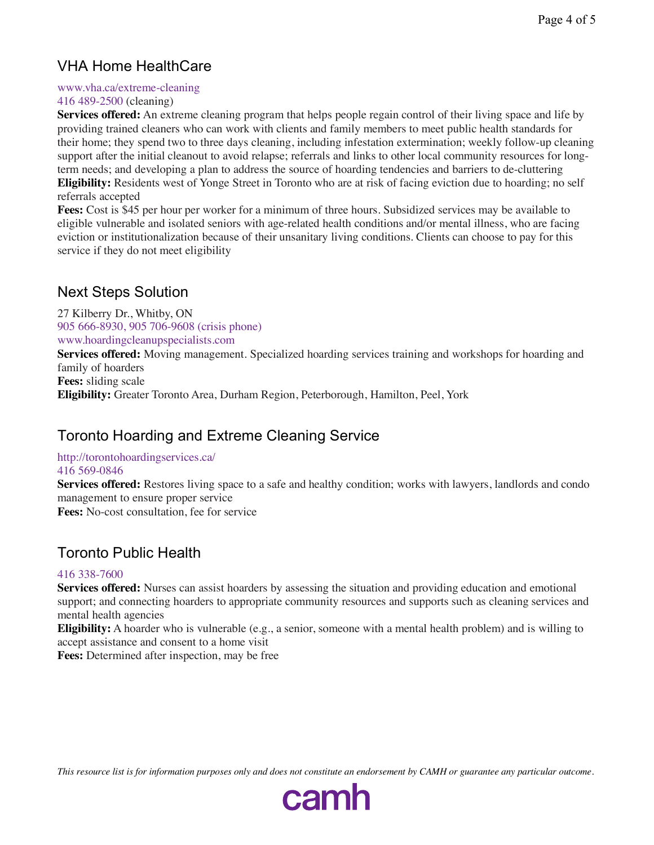### VHA Home HealthCare

#### www.vha.ca/extreme-cleaning

#### 416 489-2500 (cleaning)

**Services offered:** An extreme cleaning program that helps people regain control of their living space and life by providing trained cleaners who can work with clients and family members to meet public health standards for their home; they spend two to three days cleaning, including infestation extermination; weekly follow-up cleaning support after the initial cleanout to avoid relapse; referrals and links to other local community resources for longterm needs; and developing a plan to address the source of hoarding tendencies and barriers to de-cluttering **Eligibility:** Residents west of Yonge Street in Toronto who are at risk of facing eviction due to hoarding; no self referrals accepted

**Fees:** Cost is \$45 per hour per worker for a minimum of three hours. Subsidized services may be available to eligible vulnerable and isolated seniors with age-related health conditions and/or mental illness, who are facing eviction or institutionalization because of their unsanitary living conditions. Clients can choose to pay for this service if they do not meet eligibility

### Next Steps Solution

27 Kilberry Dr., Whitby, ON 905 666-8930, 905 706-9608 (crisis phone) www.hoardingcleanupspecialists.com

**Services offered:** Moving management. Specialized hoarding services training and workshops for hoarding and family of hoarders

**Fees:** sliding scale

**Eligibility:** Greater Toronto Area, Durham Region, Peterborough, Hamilton, Peel, York

### Toronto Hoarding and Extreme Cleaning Service

#### http://torontohoardingservices.ca/ 416 569-0846

**Services offered:** Restores living space to a safe and healthy condition; works with lawyers, landlords and condo management to ensure proper service

**Fees:** No-cost consultation, fee for service

### Toronto Public Health

#### 416 338-7600

**Services offered:** Nurses can assist hoarders by assessing the situation and providing education and emotional support; and connecting hoarders to appropriate community resources and supports such as cleaning services and mental health agencies

**Eligibility:** A hoarder who is vulnerable (e.g., a senior, someone with a mental health problem) and is willing to accept assistance and consent to a home visit

**Fees:** Determined after inspection, may be free